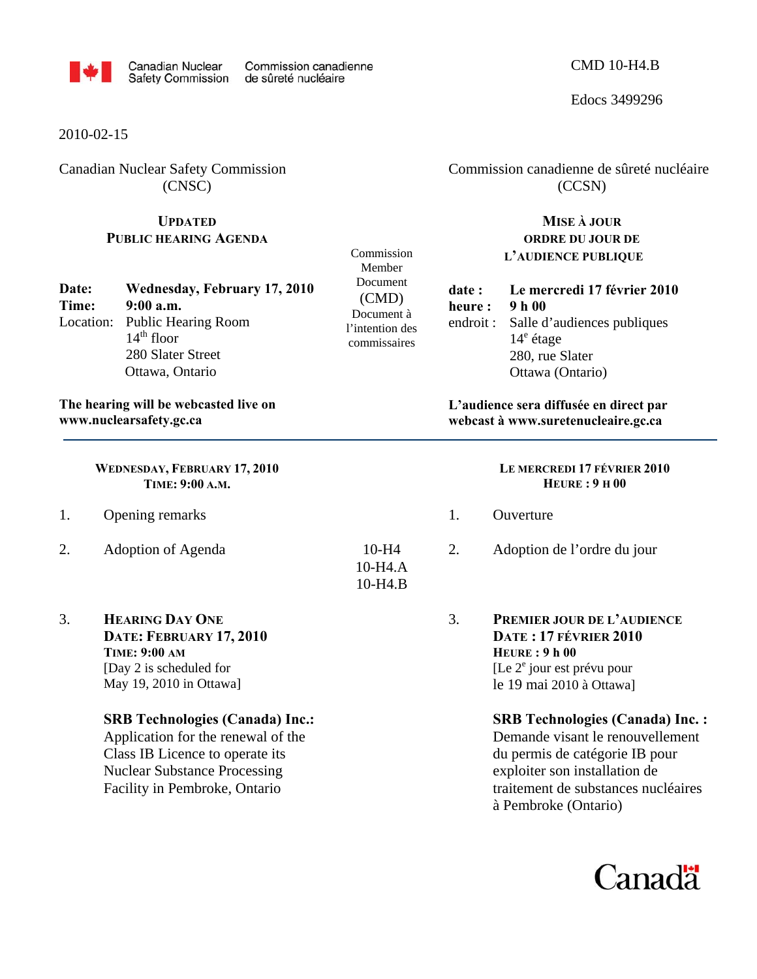

Commission Member Document (CMD) Document à l'intention des commissaires

> 10-H4 10-H4.A 10-H4.B

## 2010-02-15

Canadian Nuclear Safety Commission (CNSC)

# **UPDATED PUBLIC HEARING AGENDA**

**Date: Wednesday, February 17, 2010 Time: 9:00 a.m.**  Location: Public Hearing Room  $14<sup>th</sup>$  floor 280 Slater Street Ottawa, Ontario

## **The hearing will be webcasted live on www.nuclearsafety.gc.ca**

**WEDNESDAY, FEBRUARY 17, 2010 TIME: 9:00 A.M.** 

- 1. Opening remarks
- 2. Adoption of Agenda
- 3. **HEARING DAY ONE**

**DATE: FEBRUARY 17, 2010 TIME: 9:00 AM** [Day 2 is scheduled for May 19, 2010 in Ottawa]

#### **SRB Technologies (Canada) Inc.:**

Application for the renewal of the Class IB Licence to operate its Nuclear Substance Processing Facility in Pembroke, Ontario

 Commission canadienne de sûreté nucléaire (CCSN)

## **MISE À JOUR ORDRE DU JOUR DE L'AUDIENCE PUBLIQUE**

| date :  | Le mercredi 17 février 2010          |  |  |
|---------|--------------------------------------|--|--|
| heure : | 9 h 00                               |  |  |
|         | endroit: Salle d'audiences publiques |  |  |
|         | $14^e$ étage                         |  |  |
|         | 280, rue Slater                      |  |  |
|         | Ottawa (Ontario)                     |  |  |

**L'audience sera diffusée en direct par webcast à www.suretenucleaire.gc.ca**

# **LE MERCREDI 17 FÉVRIER 2010 HEURE : 9 H 00**  1. Ouverture 2. Adoption de l'ordre du jour 3. **PREMIER JOUR DE L'AUDIENCE DATE : 17 FÉVRIER 2010 HEURE : 9 h 00**  [Le 2<sup>e</sup> jour est prévu pour le 19 mai 2010 à Ottawa] **SRB Technologies (Canada) Inc. :**  Demande visant le renouvellement du permis de catégorie IB pour

exploiter son installation de traitement de substances nucléaires à Pembroke (Ontario)



### CMD 10-H4.B

Edocs 3499296